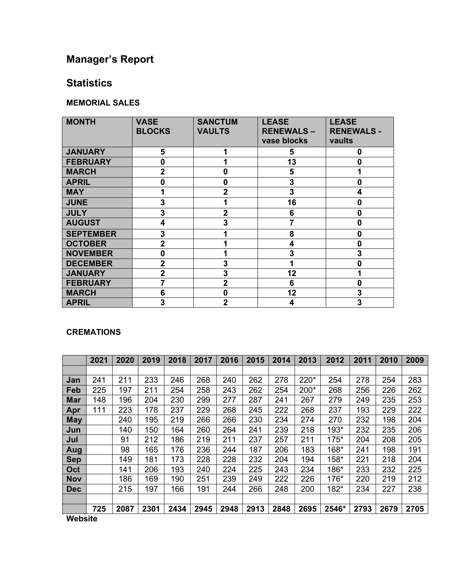# **Manager's Report**

## **Statistics**

### **MEMORIAL SALES**

| <b>MONTH</b>     | <b>VASE</b><br><b>BLOCKS</b> | <b>SANCTUM</b><br><b>VAULTS</b> | <b>LEASE</b><br><b>RENEWALS-</b><br>vase blocks | <b>LEASE</b><br><b>RENEWALS -</b><br>vaults |
|------------------|------------------------------|---------------------------------|-------------------------------------------------|---------------------------------------------|
| <b>JANUARY</b>   | 5                            |                                 | 5                                               | 0                                           |
| <b>FEBRUARY</b>  | $\bf{0}$                     |                                 | 13                                              | 0                                           |
| <b>MARCH</b>     | $\mathbf{2}$                 | 0                               | 5                                               |                                             |
| <b>APRIL</b>     | $\bf{0}$                     | $\mathbf 0$                     | 3                                               | $\bf{0}$                                    |
| <b>MAY</b>       | 1                            | $\boldsymbol{2}$                | 3                                               | 4                                           |
| <b>JUNE</b>      | 3                            | 1                               | 16                                              | 0                                           |
| <b>JULY</b>      | 3                            | $\mathbf{2}$                    | 6                                               | 0                                           |
| <b>AUGUST</b>    | 4                            | 3                               | 7                                               | 0                                           |
| <b>SEPTEMBER</b> | 3                            |                                 | 8                                               | $\mathbf{0}$                                |
| <b>OCTOBER</b>   | $\overline{2}$               |                                 | 4                                               | $\mathbf 0$                                 |
| <b>NOVEMBER</b>  | $\bf{0}$                     |                                 | 3                                               | 3                                           |
| <b>DECEMBER</b>  | $\overline{2}$               | 3                               |                                                 | 0                                           |
| <b>JANUARY</b>   | $\overline{2}$               | 3                               | 12                                              |                                             |
| <b>FEBRUARY</b>  | 7                            | $\overline{2}$                  | 6                                               | 0                                           |
| <b>MARCH</b>     | 6                            | $\Omega$                        | 12                                              | 3                                           |
| <b>APRIL</b>     | 3                            | $\mathbf{2}$                    | 4                                               | 3                                           |

### **CREMATIONS**

|            | 2021 | 2020 | 2019 | 2018 | 2017 | 2016 | 2015 | 2014 | 2013 | 2012  | 2011 | 2010 | 2009 |
|------------|------|------|------|------|------|------|------|------|------|-------|------|------|------|
|            |      |      |      |      |      |      |      |      |      |       |      |      |      |
| Jan        | 241  | 211  | 233  | 246  | 268  | 240  | 262  | 278  | 220* | 254   | 278  | 254  | 283  |
| Feb        | 225  | 197  | 211  | 254  | 258  | 243  | 262  | 254  | 200* | 268   | 256  | 226  | 262  |
| <b>Mar</b> | 148  | 196  | 204  | 230  | 299  | 277  | 287  | 241  | 267  | 279   | 249  | 235  | 253  |
| Apr        | 111  | 223  | 178  | 237  | 229  | 268  | 245  | 222  | 268  | 237   | 193  | 229  | 222  |
| <b>May</b> |      | 240  | 195  | 219  | 266  | 266  | 230  | 234  | 274  | 270   | 232  | 198  | 204  |
| Jun        |      | 140  | 150  | 164  | 260  | 264  | 241  | 239  | 218  | 193*  | 232  | 235  | 206  |
| Jul        |      | 91   | 212  | 186  | 219  | 211  | 237  | 257  | 211  | 175*  | 204  | 208  | 205  |
| Aug        |      | 98   | 165  | 176  | 236  | 244  | 187  | 206  | 183  | 168*  | 241  | 198  | 191  |
| <b>Sep</b> |      | 149  | 181  | 173  | 228  | 228  | 232  | 204  | 194  | 158*  | 221  | 218  | 204  |
| Oct        |      | 141  | 206  | 193  | 240  | 224  | 225  | 243  | 234  | 186*  | 233  | 232  | 225  |
| <b>Nov</b> |      | 186  | 169  | 190  | 251  | 239  | 249  | 222  | 226  | 176*  | 220  | 219  | 212  |
| <b>Dec</b> |      | 215  | 197  | 166  | 191  | 244  | 266  | 248  | 200  | 182*  | 234  | 227  | 238  |
|            |      |      |      |      |      |      |      |      |      |       |      |      |      |
| .          | 725  | 2087 | 2301 | 2434 | 2945 | 2948 | 2913 | 2848 | 2695 | 2546* | 2793 | 2679 | 2705 |

**Website**